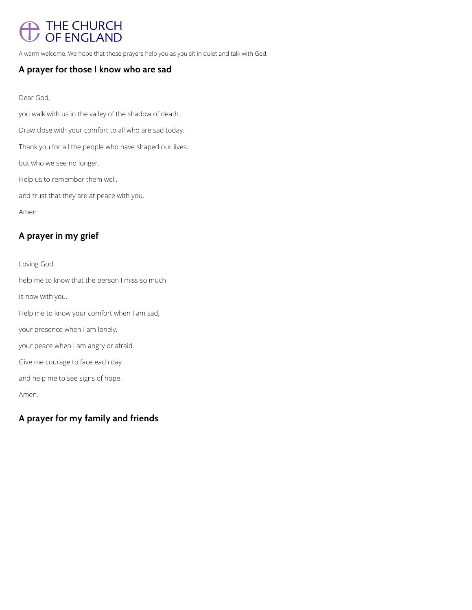# THE CHURCH<br>OF ENGLAND

A warm welcome. We hope that these prayers help you as you sit in quiet and talk with God.

### **A prayer for those I know who are sad**

#### Dear God,

you walk with us in the valley of the shadow of death. Draw close with your comfort to all who are sad today. Thank you for all the people who have shaped our lives, but who we see no longer. Help us to remember them well, and trust that they are at peace with you. Amen

# **A prayer in my grief**

Loving God, help me to know that the person I miss so much is now with you. Help me to know your comfort when I am sad, your presence when I am lonely, your peace when I am angry or afraid. Give me courage to face each day and help me to see signs of hope. Amen.

## **A prayer for my family and friends**